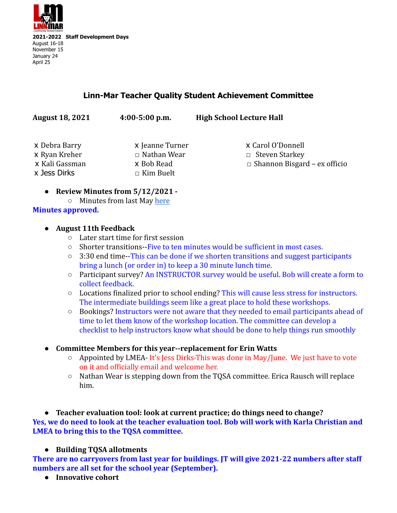

## **Linn-Mar Teacher Quality Student Achievement Committee**

| <b>August 18, 2021</b>          | $4:00-5:00$ p.m.                 | <b>High School Lecture Hall</b>                              |
|---------------------------------|----------------------------------|--------------------------------------------------------------|
| x Debra Barry                   | x Jeanne Turner                  | x Carol O'Donnell                                            |
| x Ryan Kreher<br>x Kali Gassman | $\Box$ Nathan Wear<br>x Bob Read | $\Box$ Steven Starkey<br>$\Box$ Shannon Bisgard – ex officio |
| x Jess Dirks                    | $\Box$ Kim Buelt                 |                                                              |

- **● Review Minutes from 5/12/2021 -**
- Minutes from last May [here](https://docs.google.com/document/d/1Z0fpUpYbwXr9Y-59IabxlJo5PE6_a4r4KbStESg03lU/edit) **Minutes approved.**

## **● August 11th Feedback**

- Later start time for first session
- Shorter transitions--Five to ten minutes would be sufficient in most cases.
- $\circ$  3:30 end time--This can be done if we shorten transitions and suggest participants bring a lunch (or order in) to keep a 30 minute lunch time.
- Participant survey? An INSTRUCTOR survey would be useful. Bob will create a form to collect feedback.
- $\circ$  Locations finalized prior to school ending? This will cause less stress for instructors. The intermediate buildings seem like a great place to hold these workshops.
- Bookings? Instructors were not aware that they needed to email participants ahead of time to let them know of the workshop location. The committee can develop a checklist to help instructors know what should be done to help things run smoothly
- **● Committee Members for this year--replacement for Erin Watts**
	- Appointed by LMEA- It's Jess Dirks-This was done in May/June. We just have to vote on it and officially email and welcome her.
	- $\circ$  Nathan Wear is stepping down from the TOSA committee. Erica Rausch will replace him.

**● Teacher evaluation tool: look at current practice; do things need to change? Yes, we do need to look at the teacher evaluation tool. Bob will work with Karla Christian and LMEA to bring this to the TQSA committee.**

## **● Building TQSA allotments**

**There are no carryovers from last year for buildings. JT will give 2021-22 numbers after staff numbers are all set for the school year (September).**

**● Innovative cohort**